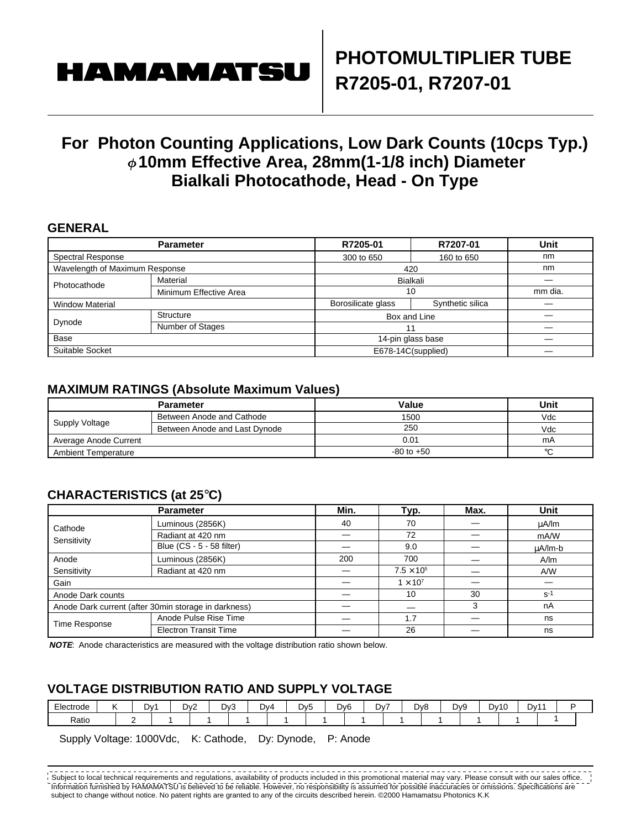# **HAMAMATS**

## **For Photon Counting Applications, Low Dark Counts (10cps Typ.) 10mm Effective Area, 28mm(1-1/8 inch) Diameter Bialkali Photocathode, Head - On Type**

#### **GENERAL**

|                                | <b>Parameter</b>       | R7205-01           | R7207-01           | Unit |  |
|--------------------------------|------------------------|--------------------|--------------------|------|--|
| <b>Spectral Response</b>       |                        | 300 to 650         | 160 to 650         | nm   |  |
| Wavelength of Maximum Response |                        | 420                | nm                 |      |  |
| Photocathode                   | Material               | Bialkali           |                    |      |  |
|                                | Minimum Effective Area |                    | 10                 |      |  |
| <b>Window Material</b>         |                        | Borosilicate glass | Synthetic silica   |      |  |
| Dynode                         | Structure              |                    | Box and Line       |      |  |
|                                | Number of Stages       |                    | 11                 |      |  |
| Base                           |                        | 14-pin glass base  |                    |      |  |
| Suitable Socket                |                        |                    | E678-14C(supplied) |      |  |

#### **MAXIMUM RATINGS (Absolute Maximum Values)**

|                            | <b>Parameter</b>              | Value          | Unit    |
|----------------------------|-------------------------------|----------------|---------|
| Supply Voltage             | Between Anode and Cathode     | 1500           | Vdc     |
|                            | Between Anode and Last Dynode | 250            | Vdc     |
| Average Anode Current      |                               | 0.01           | mA      |
| <b>Ambient Temperature</b> |                               | $-80$ to $+50$ | $\circ$ |

### **CHARACTERISTICS (at 25**°**C)**

|                                                      | Min.                         | Typ. | Max.                | <b>Unit</b> |         |
|------------------------------------------------------|------------------------------|------|---------------------|-------------|---------|
| Cathode<br>Sensitivity                               | Luminous (2856K)             | 40   | 70                  |             | µA/lm   |
|                                                      | Radiant at 420 nm            |      | 72                  |             | mA/W    |
|                                                      | Blue (CS - 5 - 58 filter)    |      | 9.0                 |             | uA/lm-b |
| Anode                                                | Luminous (2856K)             | 200  | 700                 |             | A/m     |
| Sensitivity                                          | Radiant at 420 nm            |      | $7.5 \times 10^{5}$ |             | A/W     |
| Gain                                                 |                              |      | $1 \times 10^7$     |             |         |
| Anode Dark counts                                    |                              |      | 10                  | 30          | $S-1$   |
| Anode Dark current (after 30min storage in darkness) |                              |      |                     | 3           | nA      |
| Time Response                                        | Anode Pulse Rise Time        |      | 1.7                 |             | ns      |
|                                                      | <b>Electron Transit Time</b> |      | 26                  |             | ns      |

**NOTE**: Anode characteristics are measured with the voltage distribution ratio shown below.

#### **VOLTAGE DISTRIBUTION RATIO AND SUPPLY VOLTAGE**

| $- \cdot$<br>Electrode | $\mathcal{W}$<br>. .<br>- | D <sub>v</sub> 2 | Dv3 | $\sim$<br>Dv4 | DV5 | -<br>Dv6<br>יע | - | D <sub>v</sub> 8 | Dv9 | Dv11<br>DV1 <sup>c</sup><br>- |  |
|------------------------|---------------------------|------------------|-----|---------------|-----|----------------|---|------------------|-----|-------------------------------|--|
| Ratio                  | -                         |                  |     |               |     |                |   |                  |     |                               |  |

Supply Voltage: 1000Vdc, K: Cathode, Dy: Dynode, P: Anode

Information furnished by HAMAMATSU is believed to be reliable. However, no responsibility is assumed for possible inaccuracies or omissions. Specifications are subject to change without notice. No patent rights are granted to any of the circuits described herein. ©2000 Hamamatsu Photonics K.K Subject to local technical requirements and regulations, availability of products included in this promotional material may vary. Please consult with our sales office.  $\vert$